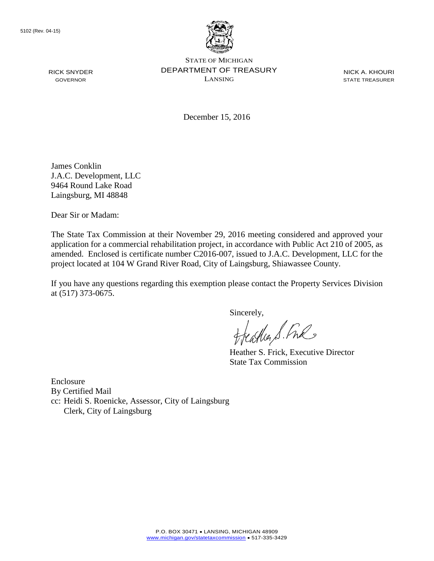

STATE OF MICHIGAN DEPARTMENT OF TREASURY LANSING

NICK A. KHOURI STATE TREASURER

December 15, 2016

James Conklin J.A.C. Development, LLC 9464 Round Lake Road Laingsburg, MI 48848

Dear Sir or Madam:

The State Tax Commission at their November 29, 2016 meeting considered and approved your application for a commercial rehabilitation project, in accordance with Public Act 210 of 2005, as amended. Enclosed is certificate number C2016-007, issued to J.A.C. Development, LLC for the project located at 104 W Grand River Road, City of Laingsburg, Shiawassee County.

If you have any questions regarding this exemption please contact the Property Services Division at (517) 373-0675.

Sincerely,<br>Heather S. Ful

Heather S. Frick, Executive Director State Tax Commission

Enclosure By Certified Mail cc: Heidi S. Roenicke, Assessor, City of Laingsburg Clerk, City of Laingsburg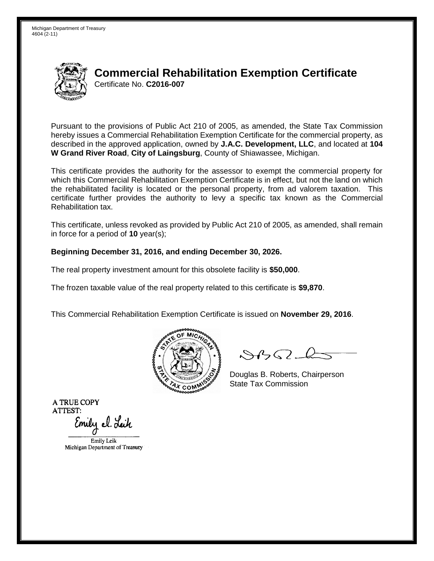

# **Commercial Rehabilitation Exemption Certificate** Certificate No. **C2016-007**

Pursuant to the provisions of Public Act 210 of 2005, as amended, the State Tax Commission hereby issues a Commercial Rehabilitation Exemption Certificate for the commercial property, as described in the approved application, owned by **J.A.C. Development, LLC**, and located at **104 W Grand River Road**, **City of Laingsburg**, County of Shiawassee, Michigan.

This certificate provides the authority for the assessor to exempt the commercial property for which this Commercial Rehabilitation Exemption Certificate is in effect, but not the land on which the rehabilitated facility is located or the personal property, from ad valorem taxation. This certificate further provides the authority to levy a specific tax known as the Commercial Rehabilitation tax.

This certificate, unless revoked as provided by Public Act 210 of 2005, as amended, shall remain in force for a period of **10** year(s);

#### **Beginning December 31, 2016, and ending December 30, 2026.**

The real property investment amount for this obsolete facility is **\$50,000**.

The frozen taxable value of the real property related to this certificate is **\$9,870**.

This Commercial Rehabilitation Exemption Certificate is issued on **November 29, 2016**.



 $\mathcal{S}$ 

Douglas B. Roberts, Chairperson State Tax Commission

Emily el. Leik

Emily Leik Michigan Department of Treasury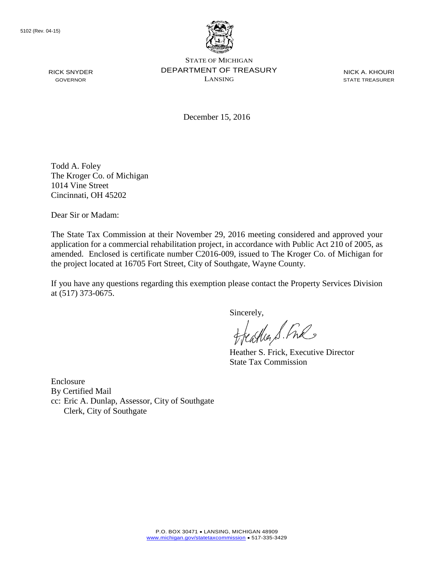

STATE OF MICHIGAN DEPARTMENT OF TREASURY LANSING

NICK A. KHOURI STATE TREASURER

December 15, 2016

Todd A. Foley The Kroger Co. of Michigan 1014 Vine Street Cincinnati, OH 45202

Dear Sir or Madam:

The State Tax Commission at their November 29, 2016 meeting considered and approved your application for a commercial rehabilitation project, in accordance with Public Act 210 of 2005, as amended. Enclosed is certificate number C2016-009, issued to The Kroger Co. of Michigan for the project located at 16705 Fort Street, City of Southgate, Wayne County.

If you have any questions regarding this exemption please contact the Property Services Division at (517) 373-0675.

Sincerely,<br>Heather S. Ful

Heather S. Frick, Executive Director State Tax Commission

Enclosure By Certified Mail cc: Eric A. Dunlap, Assessor, City of Southgate Clerk, City of Southgate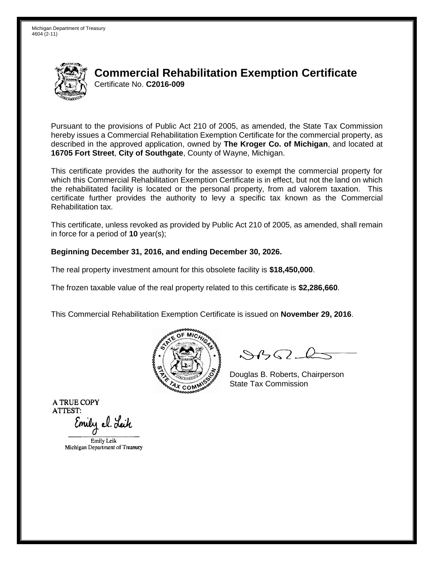

## **Commercial Rehabilitation Exemption Certificate** Certificate No. **C2016-009**

Pursuant to the provisions of Public Act 210 of 2005, as amended, the State Tax Commission hereby issues a Commercial Rehabilitation Exemption Certificate for the commercial property, as described in the approved application, owned by **The Kroger Co. of Michigan**, and located at **16705 Fort Street**, **City of Southgate**, County of Wayne, Michigan.

This certificate provides the authority for the assessor to exempt the commercial property for which this Commercial Rehabilitation Exemption Certificate is in effect, but not the land on which the rehabilitated facility is located or the personal property, from ad valorem taxation. This certificate further provides the authority to levy a specific tax known as the Commercial Rehabilitation tax.

This certificate, unless revoked as provided by Public Act 210 of 2005, as amended, shall remain in force for a period of **10** year(s);

#### **Beginning December 31, 2016, and ending December 30, 2026.**

The real property investment amount for this obsolete facility is **\$18,450,000**.

The frozen taxable value of the real property related to this certificate is **\$2,286,660**.

This Commercial Rehabilitation Exemption Certificate is issued on **November 29, 2016**.



 $\mathcal{S}$ 

Douglas B. Roberts, Chairperson State Tax Commission

Emily el. Leik

Emily Leik Michigan Department of Treasury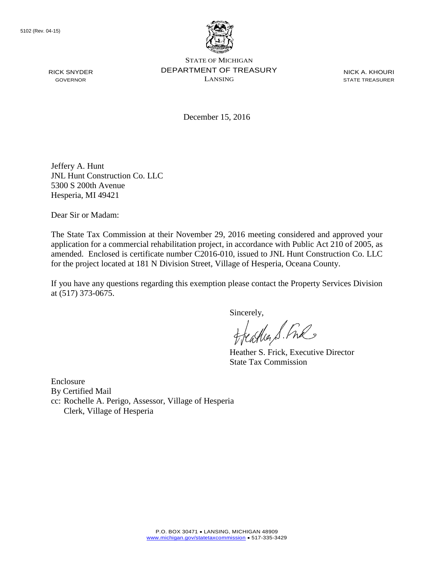

STATE OF MICHIGAN DEPARTMENT OF TREASURY LANSING

NICK A. KHOURI STATE TREASURER

December 15, 2016

Jeffery A. Hunt JNL Hunt Construction Co. LLC 5300 S 200th Avenue Hesperia, MI 49421

Dear Sir or Madam:

The State Tax Commission at their November 29, 2016 meeting considered and approved your application for a commercial rehabilitation project, in accordance with Public Act 210 of 2005, as amended. Enclosed is certificate number C2016-010, issued to JNL Hunt Construction Co. LLC for the project located at 181 N Division Street, Village of Hesperia, Oceana County.

If you have any questions regarding this exemption please contact the Property Services Division at (517) 373-0675.

Sincerely,<br>Heather S. Ful

Heather S. Frick, Executive Director State Tax Commission

Enclosure By Certified Mail cc: Rochelle A. Perigo, Assessor, Village of Hesperia Clerk, Village of Hesperia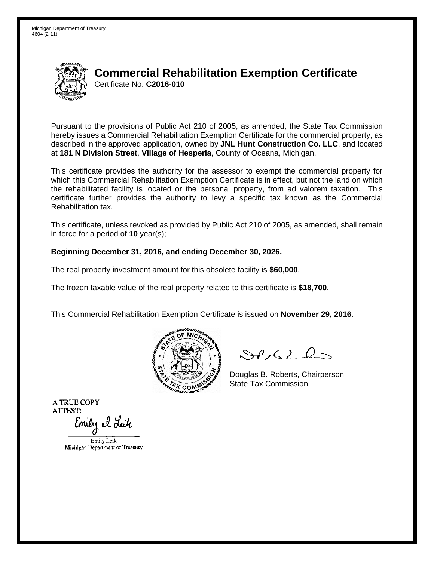

# **Commercial Rehabilitation Exemption Certificate** Certificate No. **C2016-010**

Pursuant to the provisions of Public Act 210 of 2005, as amended, the State Tax Commission hereby issues a Commercial Rehabilitation Exemption Certificate for the commercial property, as described in the approved application, owned by **JNL Hunt Construction Co. LLC**, and located at **181 N Division Street**, **Village of Hesperia**, County of Oceana, Michigan.

This certificate provides the authority for the assessor to exempt the commercial property for which this Commercial Rehabilitation Exemption Certificate is in effect, but not the land on which the rehabilitated facility is located or the personal property, from ad valorem taxation. This certificate further provides the authority to levy a specific tax known as the Commercial Rehabilitation tax.

This certificate, unless revoked as provided by Public Act 210 of 2005, as amended, shall remain in force for a period of **10** year(s);

#### **Beginning December 31, 2016, and ending December 30, 2026.**

The real property investment amount for this obsolete facility is **\$60,000**.

The frozen taxable value of the real property related to this certificate is **\$18,700**.

This Commercial Rehabilitation Exemption Certificate is issued on **November 29, 2016**.



 $\mathcal{S}$ 

Douglas B. Roberts, Chairperson State Tax Commission

Emily el. Leik

Emily Leik Michigan Department of Treasury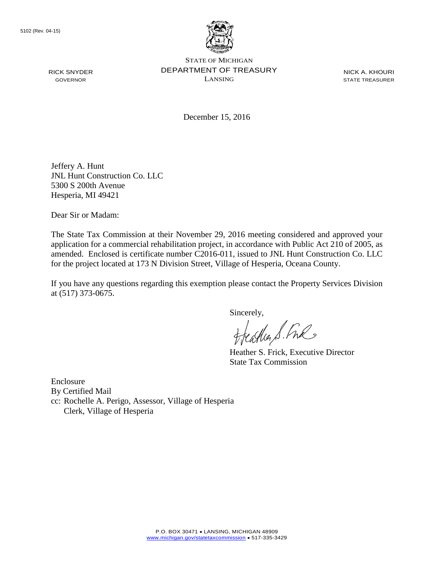

STATE OF MICHIGAN DEPARTMENT OF TREASURY LANSING

NICK A. KHOURI STATE TREASURER

December 15, 2016

Jeffery A. Hunt JNL Hunt Construction Co. LLC 5300 S 200th Avenue Hesperia, MI 49421

Dear Sir or Madam:

The State Tax Commission at their November 29, 2016 meeting considered and approved your application for a commercial rehabilitation project, in accordance with Public Act 210 of 2005, as amended. Enclosed is certificate number C2016-011, issued to JNL Hunt Construction Co. LLC for the project located at 173 N Division Street, Village of Hesperia, Oceana County.

If you have any questions regarding this exemption please contact the Property Services Division at (517) 373-0675.

Sincerely,<br>Heather S. Ful

Heather S. Frick, Executive Director State Tax Commission

Enclosure By Certified Mail cc: Rochelle A. Perigo, Assessor, Village of Hesperia Clerk, Village of Hesperia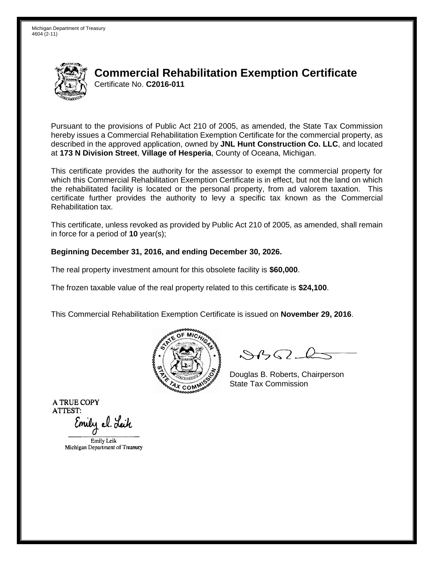

# **Commercial Rehabilitation Exemption Certificate** Certificate No. **C2016-011**

Pursuant to the provisions of Public Act 210 of 2005, as amended, the State Tax Commission hereby issues a Commercial Rehabilitation Exemption Certificate for the commercial property, as described in the approved application, owned by **JNL Hunt Construction Co. LLC**, and located at **173 N Division Street**, **Village of Hesperia**, County of Oceana, Michigan.

This certificate provides the authority for the assessor to exempt the commercial property for which this Commercial Rehabilitation Exemption Certificate is in effect, but not the land on which the rehabilitated facility is located or the personal property, from ad valorem taxation. This certificate further provides the authority to levy a specific tax known as the Commercial Rehabilitation tax.

This certificate, unless revoked as provided by Public Act 210 of 2005, as amended, shall remain in force for a period of **10** year(s);

#### **Beginning December 31, 2016, and ending December 30, 2026.**

The real property investment amount for this obsolete facility is **\$60,000**.

The frozen taxable value of the real property related to this certificate is **\$24,100**.

This Commercial Rehabilitation Exemption Certificate is issued on **November 29, 2016**.



 $\mathcal{S}$ 

Douglas B. Roberts, Chairperson State Tax Commission

Emily el. Leik

Emily Leik Michigan Department of Treasury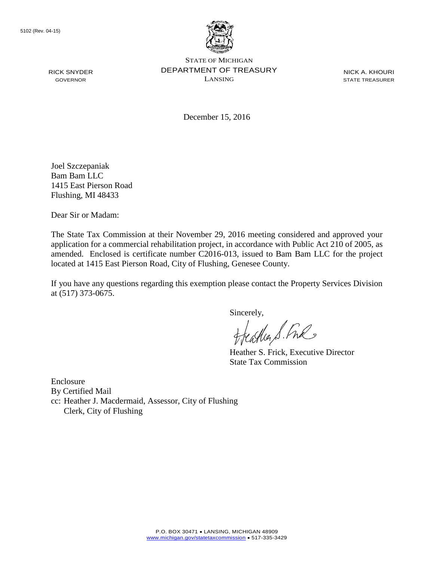

STATE OF MICHIGAN DEPARTMENT OF TREASURY LANSING

NICK A. KHOURI STATE TREASURER

December 15, 2016

Joel Szczepaniak Bam Bam LLC 1415 East Pierson Road Flushing, MI 48433

Dear Sir or Madam:

The State Tax Commission at their November 29, 2016 meeting considered and approved your application for a commercial rehabilitation project, in accordance with Public Act 210 of 2005, as amended. Enclosed is certificate number C2016-013, issued to Bam Bam LLC for the project located at 1415 East Pierson Road, City of Flushing, Genesee County.

If you have any questions regarding this exemption please contact the Property Services Division at (517) 373-0675.

Sincerely,<br>Heather S. Ful

Heather S. Frick, Executive Director State Tax Commission

Enclosure By Certified Mail cc: Heather J. Macdermaid, Assessor, City of Flushing Clerk, City of Flushing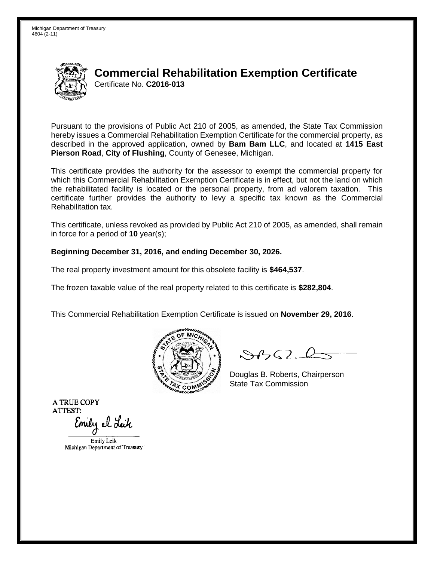

## **Commercial Rehabilitation Exemption Certificate** Certificate No. **C2016-013**

Pursuant to the provisions of Public Act 210 of 2005, as amended, the State Tax Commission hereby issues a Commercial Rehabilitation Exemption Certificate for the commercial property, as described in the approved application, owned by **Bam Bam LLC**, and located at **1415 East Pierson Road**, **City of Flushing**, County of Genesee, Michigan.

This certificate provides the authority for the assessor to exempt the commercial property for which this Commercial Rehabilitation Exemption Certificate is in effect, but not the land on which the rehabilitated facility is located or the personal property, from ad valorem taxation. This certificate further provides the authority to levy a specific tax known as the Commercial Rehabilitation tax.

This certificate, unless revoked as provided by Public Act 210 of 2005, as amended, shall remain in force for a period of **10** year(s);

#### **Beginning December 31, 2016, and ending December 30, 2026.**

The real property investment amount for this obsolete facility is **\$464,537**.

The frozen taxable value of the real property related to this certificate is **\$282,804**.

This Commercial Rehabilitation Exemption Certificate is issued on **November 29, 2016**.



 $\mathcal{S}$ 

Douglas B. Roberts, Chairperson State Tax Commission

Emily el. Leik

Emily Leik Michigan Department of Treasury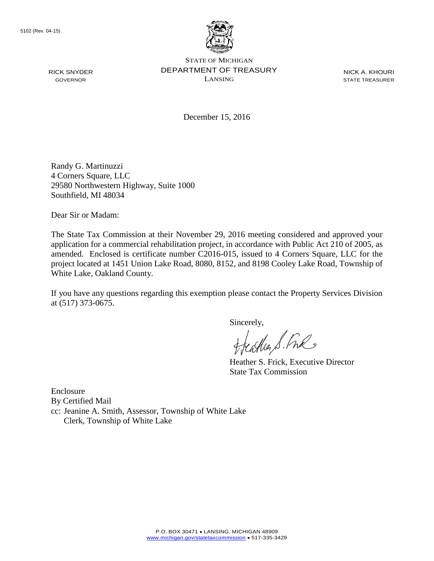

STATE OF MICHIGAN DEPARTMENT OF TREASURY LANSING

NICK A. KHOURI STATE TREASURER

December 15, 2016

Randy G. Martinuzzi 4 Corners Square, LLC 29580 Northwestern Highway, Suite 1000 Southfield, MI 48034

Dear Sir or Madam:

The State Tax Commission at their November 29, 2016 meeting considered and approved your application for a commercial rehabilitation project, in accordance with Public Act 210 of 2005, as amended. Enclosed is certificate number C2016-015, issued to 4 Corners Square, LLC for the project located at 1451 Union Lake Road, 8080, 8152, and 8198 Cooley Lake Road, Township of White Lake, Oakland County.

If you have any questions regarding this exemption please contact the Property Services Division at (517) 373-0675.

Sincerely,

Heather S. Fre

Heather S. Frick, Executive Director State Tax Commission

Enclosure By Certified Mail cc: Jeanine A. Smith, Assessor, Township of White Lake Clerk, Township of White Lake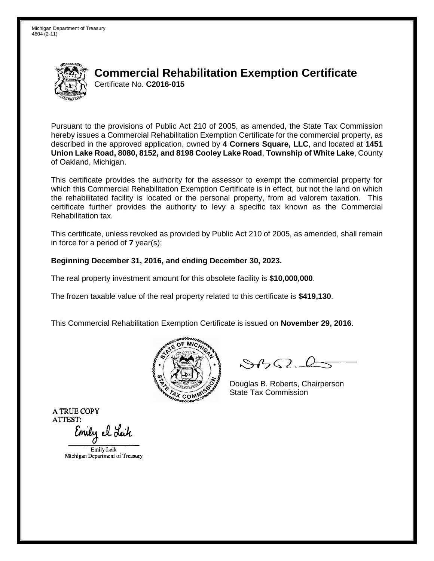

## **Commercial Rehabilitation Exemption Certificate** Certificate No. **C2016-015**

Pursuant to the provisions of Public Act 210 of 2005, as amended, the State Tax Commission hereby issues a Commercial Rehabilitation Exemption Certificate for the commercial property, as described in the approved application, owned by **4 Corners Square, LLC**, and located at **1451 Union Lake Road, 8080, 8152, and 8198 Cooley Lake Road**, **Township of White Lake**, County of Oakland, Michigan.

This certificate provides the authority for the assessor to exempt the commercial property for which this Commercial Rehabilitation Exemption Certificate is in effect, but not the land on which the rehabilitated facility is located or the personal property, from ad valorem taxation. This certificate further provides the authority to levy a specific tax known as the Commercial Rehabilitation tax.

This certificate, unless revoked as provided by Public Act 210 of 2005, as amended, shall remain in force for a period of **7** year(s);

#### **Beginning December 31, 2016, and ending December 30, 2023.**

The real property investment amount for this obsolete facility is **\$10,000,000**.

The frozen taxable value of the real property related to this certificate is **\$419,130**.

This Commercial Rehabilitation Exemption Certificate is issued on **November 29, 2016**.



 $\mathcal{S}4\mathcal{G}$ 

Douglas B. Roberts, Chairperson State Tax Commission

Emily el. Leik

Emily Leik Michigan Department of Treasury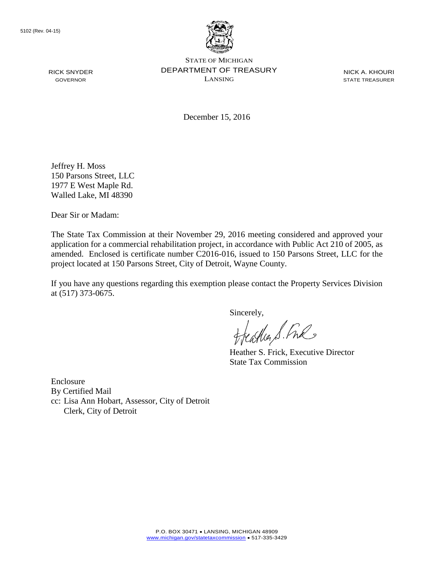

STATE OF MICHIGAN DEPARTMENT OF TREASURY LANSING

NICK A. KHOURI STATE TREASURER

December 15, 2016

Jeffrey H. Moss 150 Parsons Street, LLC 1977 E West Maple Rd. Walled Lake, MI 48390

Dear Sir or Madam:

The State Tax Commission at their November 29, 2016 meeting considered and approved your application for a commercial rehabilitation project, in accordance with Public Act 210 of 2005, as amended. Enclosed is certificate number C2016-016, issued to 150 Parsons Street, LLC for the project located at 150 Parsons Street, City of Detroit, Wayne County.

If you have any questions regarding this exemption please contact the Property Services Division at (517) 373-0675.

Sincerely,<br>Heather S. Ful

Heather S. Frick, Executive Director State Tax Commission

Enclosure By Certified Mail cc: Lisa Ann Hobart, Assessor, City of Detroit Clerk, City of Detroit